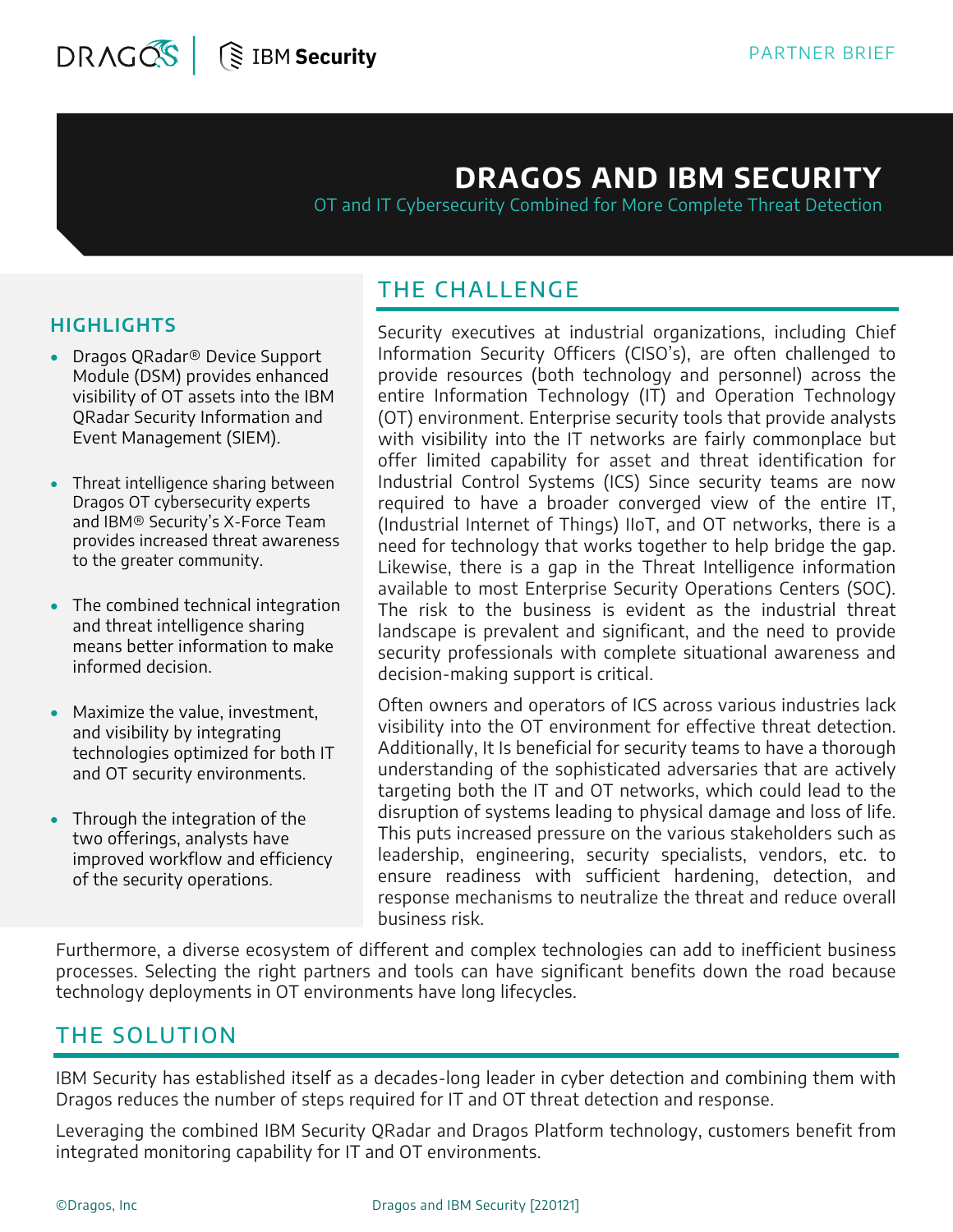## **DRAGOS AND IBM SECURITY**

OT and IT Cybersecurity Combined for More Complete Threat Detection

#### **HIGHLIGHTS**

- Dragos QRadar® Device Support Module (DSM) provides enhanced visibility of OT assets into the IBM QRadar Security Information and Event Management (SIEM).
- Threat intelligence sharing between Dragos OT cybersecurity experts and IBM® Security's X-Force Team provides increased threat awareness to the greater community.
- The combined technical integration and threat intelligence sharing means better information to make informed decision.
- Maximize the value, investment, and visibility by integrating technologies optimized for both IT and OT security environments.
- Through the integration of the two offerings, analysts have improved workflow and efficiency of the security operations.

### THE CHALLENGE

Security executives at industrial organizations, including Chief Information Security Officers (CISO's), are often challenged to provide resources (both technology and personnel) across the entire Information Technology (IT) and Operation Technology (OT) environment. Enterprise security tools that provide analysts with visibility into the IT networks are fairly commonplace but offer limited capability for asset and threat identification for Industrial Control Systems (ICS) Since security teams are now required to have a broader converged view of the entire IT, (Industrial Internet of Things) IIoT, and OT networks, there is a need for technology that works together to help bridge the gap. Likewise, there is a gap in the Threat Intelligence information available to most Enterprise Security Operations Centers (SOC). The risk to the business is evident as the industrial threat landscape is prevalent and significant, and the need to provide security professionals with complete situational awareness and decision-making support is critical.

Often owners and operators of ICS across various industries lack visibility into the OT environment for effective threat detection. Additionally, It Is beneficial for security teams to have a thorough understanding of the sophisticated adversaries that are actively targeting both the IT and OT networks, which could lead to the disruption of systems leading to physical damage and loss of life. This puts increased pressure on the various stakeholders such as leadership, engineering, security specialists, vendors, etc. to ensure readiness with sufficient hardening, detection, and response mechanisms to neutralize the threat and reduce overall business risk.

Furthermore, a diverse ecosystem of different and complex technologies can add to inefficient business processes. Selecting the right partners and tools can have significant benefits down the road because technology deployments in OT environments have long lifecycles.

#### THE SOLUTION

IBM Security has established itself as a decades-long leader in cyber detection and combining them with Dragos reduces the number of steps required for IT and OT threat detection and response.

Leveraging the combined IBM Security QRadar and Dragos Platform technology, customers benefit from integrated monitoring capability for IT and OT environments.